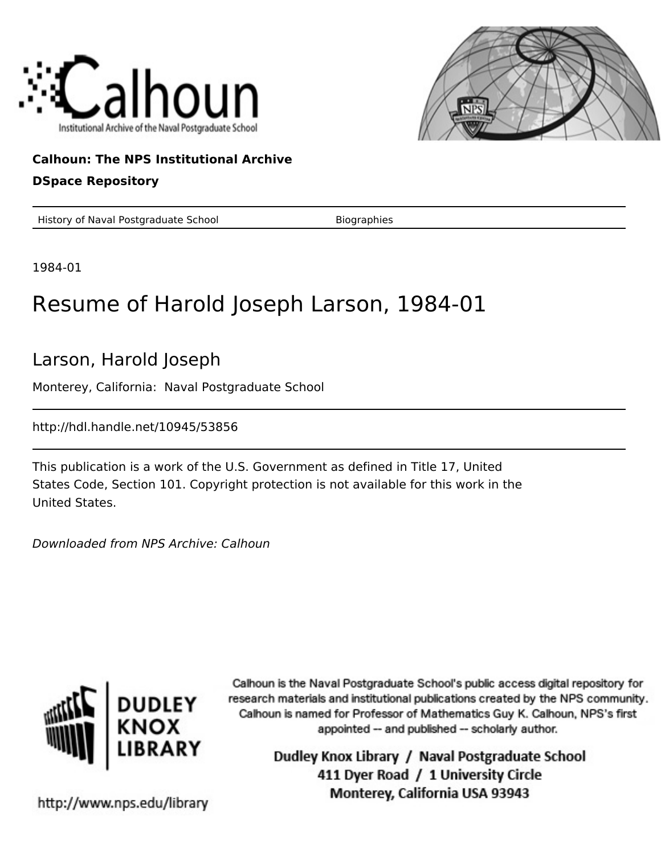



## **Calhoun: The NPS Institutional Archive**

#### **DSpace Repository**

History of Naval Postgraduate School Biographies

1984-01

# Resume of Harold Joseph Larson, 1984-01

### Larson, Harold Joseph

Monterey, California: Naval Postgraduate School

http://hdl.handle.net/10945/53856

This publication is a work of the U.S. Government as defined in Title 17, United States Code, Section 101. Copyright protection is not available for this work in the United States.

Downloaded from NPS Archive: Calhoun



Calhoun is the Naval Postgraduate School's public access digital repository for research materials and institutional publications created by the NPS community. Calhoun is named for Professor of Mathematics Guy K. Calhoun, NPS's first appointed -- and published -- scholarly author.

> Dudley Knox Library / Naval Postgraduate School 411 Dyer Road / 1 University Circle Monterey, California USA 93943

http://www.nps.edu/library